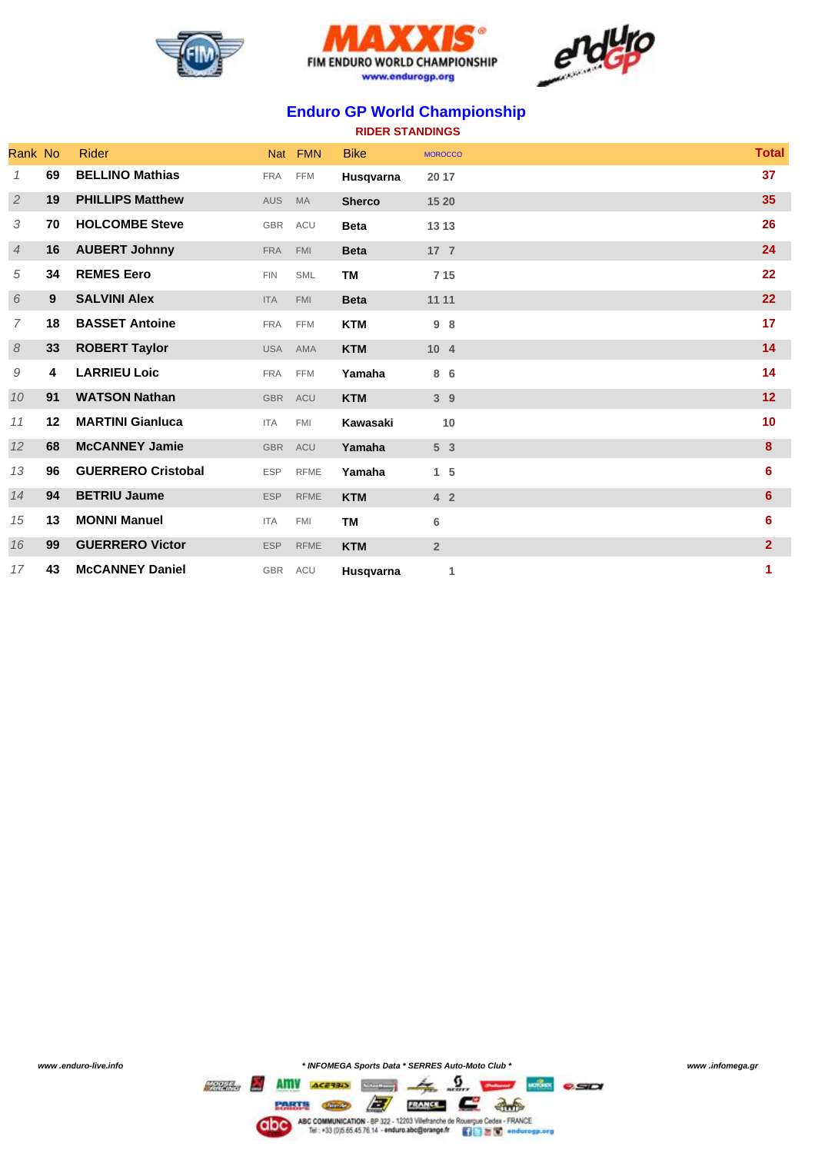





## **Enduro GP World Championship**

| <b>RIDER STANDINGS</b> |         |                           |            |             |               |                 |  |                 |
|------------------------|---------|---------------------------|------------|-------------|---------------|-----------------|--|-----------------|
| Rank No                |         | <b>Rider</b>              |            | Nat FMN     | <b>Bike</b>   | <b>MOROCCO</b>  |  | <b>Total</b>    |
| 1                      | 69      | <b>BELLINO Mathias</b>    | <b>FRA</b> | <b>FFM</b>  | Husqvarna     | 20 17           |  | 37              |
| $\overline{2}$         | 19      | <b>PHILLIPS Matthew</b>   | AUS        | <b>MA</b>   | <b>Sherco</b> | 15 20           |  | 35              |
| 3                      | 70      | <b>HOLCOMBE Steve</b>     | <b>GBR</b> | ACU         | <b>Beta</b>   | 13 13           |  | 26              |
| 4                      | 16      | <b>AUBERT Johnny</b>      | <b>FRA</b> | <b>FMI</b>  | <b>Beta</b>   | 17 <sub>7</sub> |  | 24              |
| 5                      | 34      | <b>REMES Eero</b>         | <b>FIN</b> | <b>SML</b>  | <b>TM</b>     | 7 1 5           |  | 22              |
| 6                      | 9       | <b>SALVINI Alex</b>       | <b>ITA</b> | <b>FMI</b>  | <b>Beta</b>   | 11 11           |  | 22              |
| 7                      | 18      | <b>BASSET Antoine</b>     | <b>FRA</b> | <b>FFM</b>  | <b>KTM</b>    | 98              |  | 17              |
| 8                      | 33      | <b>ROBERT Taylor</b>      | <b>USA</b> | AMA         | <b>KTM</b>    | 10 <sub>4</sub> |  | 14              |
| 9                      | 4       | <b>LARRIEU Loic</b>       | <b>FRA</b> | <b>FFM</b>  | Yamaha        | 8 6             |  | 14              |
| 10                     | 91      | <b>WATSON Nathan</b>      | <b>GBR</b> | ACU         | <b>KTM</b>    | 3 <sup>9</sup>  |  | 12              |
| 11                     | $12 \,$ | <b>MARTINI Gianluca</b>   | <b>ITA</b> | <b>FMI</b>  | Kawasaki      | 10              |  | 10              |
| 12                     | 68      | <b>McCANNEY Jamie</b>     | <b>GBR</b> | ACU         | Yamaha        | 5 <sub>3</sub>  |  | 8               |
| 13                     | 96      | <b>GUERRERO Cristobal</b> | <b>ESP</b> | <b>RFME</b> | Yamaha        | $1\quad5$       |  | 6               |
| 14                     | 94      | <b>BETRIU Jaume</b>       | <b>ESP</b> | <b>RFME</b> | <b>KTM</b>    | 4 <sub>2</sub>  |  | $6\phantom{1}6$ |
| 15                     | 13      | <b>MONNI Manuel</b>       | <b>ITA</b> | <b>FMI</b>  | <b>TM</b>     | 6               |  | 6               |
| 16                     | 99      | <b>GUERRERO Victor</b>    | <b>ESP</b> | <b>RFME</b> | <b>KTM</b>    | $\overline{2}$  |  | $\overline{2}$  |
| 17                     | 43      | <b>McCANNEY Daniel</b>    | GBR ACU    |             | Husqvarna     | 1               |  | 1               |

*www .enduro-live.info \* INFOMEGA Sports Data \* SERRES Auto-Moto Club \* www .infomega.gr*

 $\overline{z}$   $\overline{z}$   $\overline{w}$   $\overline{c}$  as Mac COMMUNICATION - BP 322 - 12203 Vitefranche de Rouergue Cedex - FRANCE